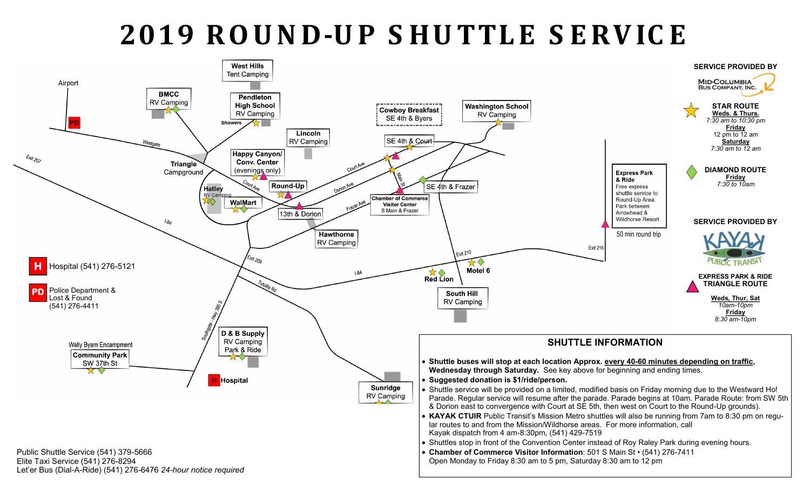## **2019 R O U N D-U P S H U TTLE S E R V IC E**